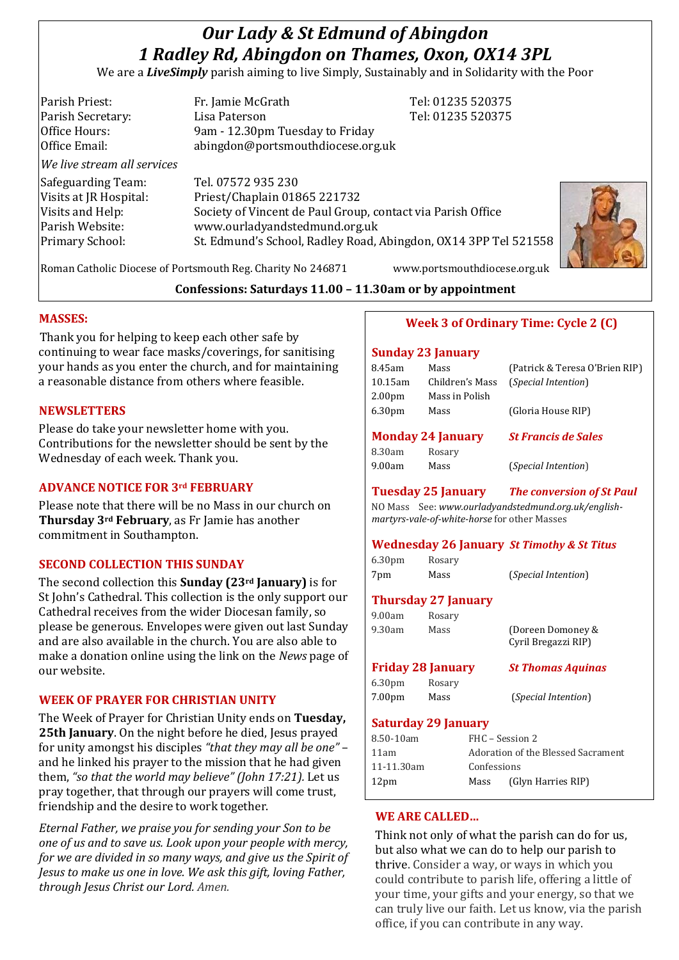# *Our Lady & St Edmund of Abingdon 1 Radley Rd, Abingdon on Thames, Oxon, OX14 3PL*

We are a *LiveSimply* parish aiming to live Simply, Sustainably and in Solidarity with the Poor

| Parish Priest:              | Fr. Jamie McGrath                                               | Tel: 01235 520375 |
|-----------------------------|-----------------------------------------------------------------|-------------------|
| Parish Secretary:           | Lisa Paterson                                                   | Tel: 01235 520375 |
| Office Hours:               | 9am - 12.30pm Tuesday to Friday                                 |                   |
| Office Email:               | abingdon@portsmouthdiocese.org.uk                               |                   |
| We live stream all services |                                                                 |                   |
| Safeguarding Team:          | Tel. 07572 935 230                                              |                   |
| Visits at JR Hospital:      | Priest/Chaplain 01865 221732                                    |                   |
| Visits and Help:            | Society of Vincent de Paul Group, contact via Parish Office     |                   |
| Parish Website:             | www.ourladyandstedmund.org.uk                                   |                   |
| Primary School:             | St. Edmund's School, Radley Road, Abingdon, OX14 3PP Tel 521558 |                   |
|                             |                                                                 |                   |
|                             |                                                                 |                   |



Roman Catholic Diocese of Portsmouth Reg. Charity No 246871 www.portsmouthdiocese.org.uk

# **Confessions: Saturdays 11.00 – 11.30am or by appointment**

#### **MASSES:**

Thank you for helping to keep each other safe by continuing to wear face masks/coverings, for sanitising your hands as you enter the church, and for maintaining a reasonable distance from others where feasible.

#### **NEWSLETTERS**

Please do take your newsletter home with you. Contributions for the newsletter should be sent by the Wednesday of each week. Thank you.

# **ADVANCE NOTICE FOR 3rd FEBRUARY**

Please note that there will be no Mass in our church on **Thursday 3rd February**, as Fr Jamie has another commitment in Southampton.

#### **SECOND COLLECTION THIS SUNDAY**

The second collection this **Sunday (23rd January)** is for St John's Cathedral. This collection is the only support our Cathedral receives from the wider Diocesan family, so please be generous. Envelopes were given out last Sunday and are also available in the church. You are also able to make a donation online using the link on the *News* page of our website.

# **WEEK OF PRAYER FOR CHRISTIAN UNITY**

The Week of Prayer for Christian Unity ends on **Tuesday, 25th January**. On the night before he died, Jesus prayed for unity amongst his disciples *"that they may all be one"* – and he linked his prayer to the mission that he had given them, *"so that the world may believe" (John 17:21).* Let us pray together, that through our prayers will come trust, friendship and the desire to work together.

*Eternal Father, we praise you for sending your Son to be one of us and to save us. Look upon your people with mercy, for we are divided in so many ways, and give us the Spirit of Jesus to make us one in love. We ask this gift, loving Father, through Jesus Christ our Lord. Amen.*

#### **Week 3 of Ordinary Time: Cycle 2 (C)**

#### **Sunday 23 January**

|         | <b>Monday 24 January</b> | <b>St Francis de Sales</b>     |
|---------|--------------------------|--------------------------------|
| 6.30pm  | Mass                     | (Gloria House RIP)             |
| 2.00pm  | Mass in Polish           |                                |
| 10.15am | Children's Mass          | <i>(Special Intention)</i>     |
| 8.45am  | Mass                     | (Patrick & Teresa O'Brien RIP) |

| 8.30am | Rosary |
|--------|--------|
| 9.00am | Mass   |

9.00am Mass (*Special Intention*)

# **Tuesday 25 January** *The conversion of St Paul*

NO Mass See: *www.ourladyandstedmund.org.uk/englishmartyrs-vale-of-white-horse* for other Masses

# **Wednesday 26 January** *St Timothy & St Titus*

6.30pm Rosary 7pm Mass (*Special Intention*)

# **Thursday 27 January**

| Rosary                   |                                          |
|--------------------------|------------------------------------------|
| Mass                     | (Doreen Domoney &<br>Cyril Bregazzi RIP) |
|                          |                                          |
| <b>Friday 28 January</b> | <b>St Thomas Aquinas</b>                 |
| Rosary                   |                                          |
|                          |                                          |

#### **Saturday 29 January**

| FHC – Session 2                    |                    |
|------------------------------------|--------------------|
| Adoration of the Blessed Sacrament |                    |
| Confessions                        |                    |
| Mass                               | (Glyn Harries RIP) |
|                                    |                    |

# **WE ARE CALLED…**

Think not only of what the parish can do for us, but also what we can do to help our parish to thrive. Consider a way, or ways in which you could contribute to parish life, offering a little of your time, your gifts and your energy, so that we can truly live our faith. Let us know, via the parish office, if you can contribute in any way.